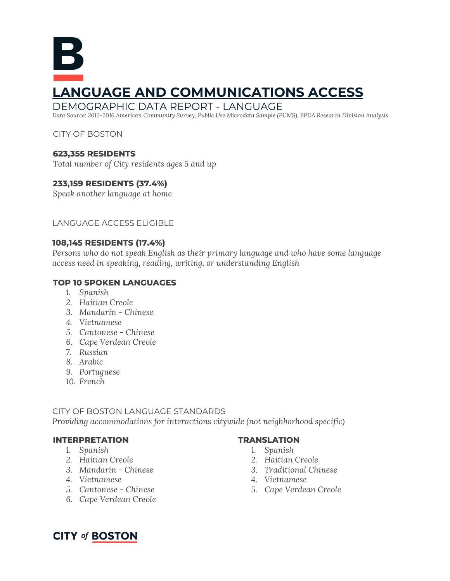# Б **LANGUAGE AND COMMUNICATIONS ACCESS**

#### DEMOGRAPHIC DATA REPORT - LANGUAGE

*Data Source: 2012-2016 American Community Survey, Public Use Microdata Sample (PUMS), BPDA Research Division Analysis*

#### CITY OF BOSTON

#### **623,355 RESIDENTS**

*Total number of City residents ages 5 and up*

#### **233,159 RESIDENTS (37.4%)**

*Speak another language at home*

#### LANGUAGE ACCESS ELIGIBLE

#### **108,145 RESIDENTS (17.4%)**

*Persons who do not speak English as their primary language and who have some language access need in speaking, reading, writing, or understanding English*

#### **TOP 10 SPOKEN LANGUAGES**

- *1. Spanish*
- *2. Haitian Creole*
- *3. Mandarin - Chinese*
- *4. Vietnamese*
- *5. Cantonese - Chinese*
- *6. Cape Verdean Creole*
- *7. Russian*
- *8. Arabic*
- *9. Portuguese*
- *10. French*

#### CITY OF BOSTON LANGUAGE STANDARDS

*Providing accommodations for interactions citywide (not neighborhood specific)*

#### **INTERPRETATION**

- *1. Spanish*
- *2. Haitian Creole*
- *3. Mandarin - Chinese*
- *4. Vietnamese*
- *5. Cantonese - Chinese*
- *6. Cape Verdean Creole*

#### **TRANSLATION**

- *1. Spanish*
- *2. Haitian Creole*
- *3. Traditional Chinese*
- *4. Vietnamese*
- *5. Cape Verdean Creole*

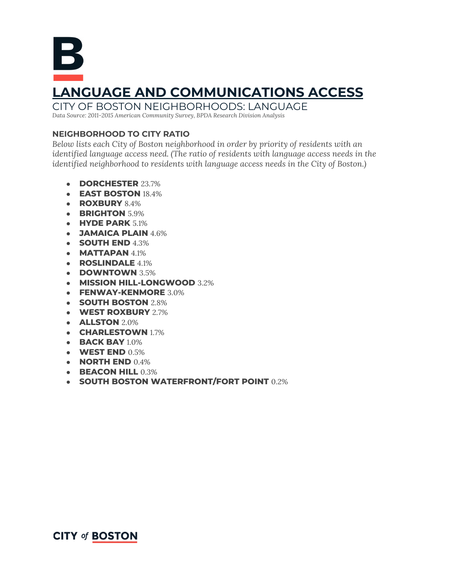**LANGUAGE AND COMMUNICATIONS ACCESS** CITY OF BOSTON NEIGHBORHOODS: LANGUAGE

*Data Source: 2011-2015 American Community Survey, BPDA Research Division Analysis*

#### **NEIGHBORHOOD TO CITY RATIO**

*Below lists each City of Boston neighborhood in order by priority of residents with an identified language access need. (The ratio of residents with language access needs in the identified neighborhood to residents with language access needs in the City of Boston.)*

- **DORCHESTER** 23.7%
- **EAST BOSTON** 18.4%
- **ROXBURY** 8.4%
- **BRIGHTON** 5.9%
- **HYDE PARK** 5.1%
- **JAMAICA PLAIN** 4.6%
- **SOUTH END** 4.3%
- **MATTAPAN** 4.1%
- **ROSLINDALE** 4.1%
- **DOWNTOWN** 3.5%
- **MISSION HILL-LONGWOOD** 3.2%
- **FENWAY-KENMORE** 3.0%
- **SOUTH BOSTON** 2.8%
- **WEST ROXBURY** 2.7%
- **ALLSTON** 2.0%
- **CHARLESTOWN** 1.7%
- **BACK BAY** 1.0%
- **WEST END** 0.5%
- **NORTH END** 0.4%
- **BEACON HILL** 0.3%
- **SOUTH BOSTON WATERFRONT/FORT POINT** 0.2%

### **CITY of BOSTON**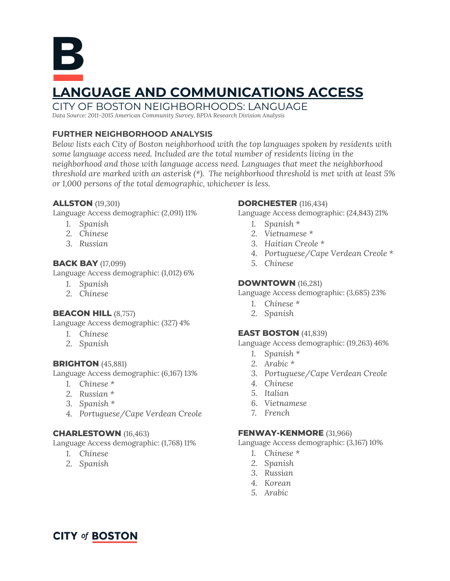

*Data Source: 2011-2015 American Community Survey, BPDA Research Division Analysis*

#### **FURTHER NEIGHBORHOOD ANALYSIS**

*Below lists each City of Boston neighborhood with the top languages spoken by residents with some language access need. Included are the total number of residents living in the neighborhood and those with language access need. Languages that meet the neighborhood threshold are marked with an asterisk (\*). The neighborhood threshold is met with at least 5% or 1,000 persons of the total demographic, whichever is less.*

#### **ALLSTON** (19,301)

Language Access demographic: (2,091) 11%

- *1. Spanish*
- *2. Chinese*
- *3. Russian*

#### **BACK BAY** (17,099)

Language Access demographic: (1,012) 6%

- *1. Spanish*
- *2. Chinese*

#### **BEACON HILL** (8,757)

Language Access demographic: (327) 4%

- *1. Chinese*
- *2. Spanish*

#### **BRIGHTON** (45,881)

Language Access demographic: (6,167) 13%

- *1. Chinese \**
- *2. Russian \**
- *3. Spanish \**
- *4. Portuguese/Cape Verdean Creole*

#### **CHARLESTOWN** (16,463)

Language Access demographic: (1,768) 11%

- *1. Chinese*
- *2. Spanish*

#### **DORCHESTER** (116,434)

Language Access demographic: (24,843) 21%

- *1. Spanish \**
- *2. Vietnamese \**
- *3. Haitian Creole \**
- *4. Portuguese/Cape Verdean Creole \**
- *5. Chinese*

#### **DOWNTOWN** (16,281)

Language Access demographic: (3,685) 23%

- *1. Chinese \**
- *2. Spanish*

#### **EAST BOSTON** (41,839)

Language Access demographic: (19,263) 46%

- *1. Spanish \**
- *2. Arabic \**
- *3. Portuguese/Cape Verdean Creole*
- *4. Chinese*
- *5. Italian*
- *6. Vietnamese*
- *7. French*

#### **FENWAY-KENMORE** (31,966)

Language Access demographic: (3,167) 10%

- *1. Chinese \**
- *2. Spanish*
- *3. Russian*
- *4. Korean*
- *5. Arabic*

## **CITY of BOSTON**